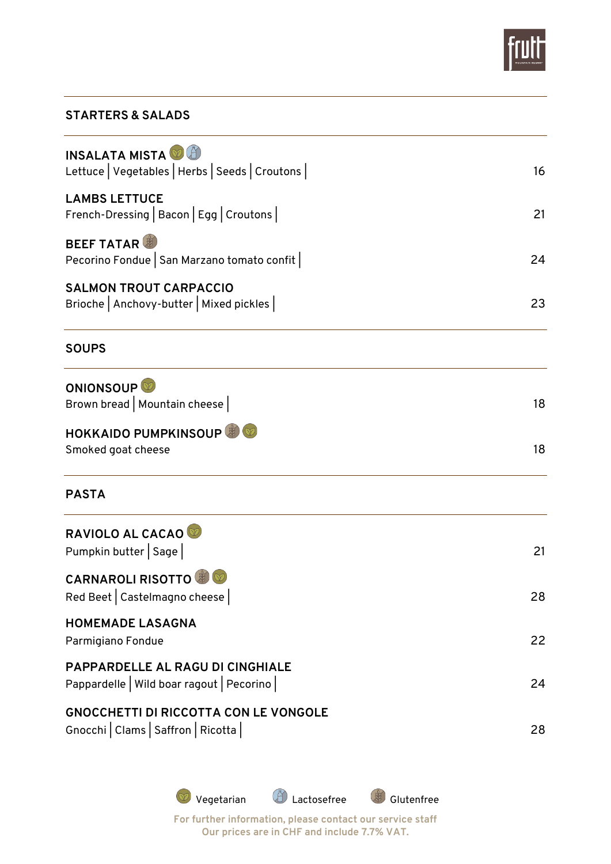

# **STARTERS & SALADS**

| <b>INSALATA MISTA</b><br>Lettuce   Vegetables   Herbs   Seeds   Croutons            | 16 |
|-------------------------------------------------------------------------------------|----|
| <b>LAMBS LETTUCE</b><br>French-Dressing   Bacon   Egg   Croutons                    | 21 |
| <b>BEEF TATAR</b><br>Pecorino Fondue   San Marzano tomato confit                    | 24 |
| <b>SALMON TROUT CARPACCIO</b><br>Brioche   Anchovy-butter   Mixed pickles           | 23 |
| <b>SOUPS</b>                                                                        |    |
| ONIONSOUP <sup>®</sup><br>Brown bread   Mountain cheese                             | 18 |
| <b>HOKKAIDO PUMPKINSOUP</b><br>Smoked goat cheese                                   | 18 |
| <b>PASTA</b>                                                                        |    |
| RAVIOLO AL CACAO<br>Pumpkin butter   Sage                                           | 21 |
| <b>CARNAROLI RISOTTO &amp; O</b><br>Red Beet   Castelmagno cheese                   | 28 |
| <b>HOMEMADE LASAGNA</b><br>Parmigiano Fondue                                        | 22 |
| PAPPARDELLE AL RAGU DI CINGHIALE<br>Pappardelle   Wild boar ragout   Pecorino       | 24 |
| <b>GNOCCHETTI DI RICCOTTA CON LE VONGOLE</b><br>Gnocchi   Clams   Saffron   Ricotta | 28 |
|                                                                                     |    |

**Vegetarian**  $\bigoplus$  Lactosefree  $\bigoplus$  Glutenfree **For further information, please contact our service staff Our prices are in CHF and include 7.7% VAT.**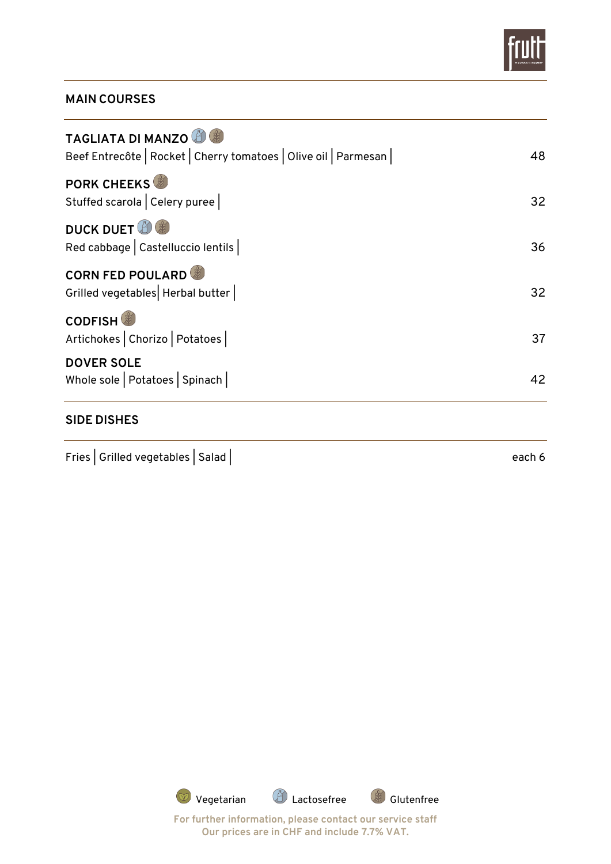

# **MAIN COURSES**

| <b>DOVER SOLE</b><br>Whole sole   Potatoes   Spinach                                         | 42 |
|----------------------------------------------------------------------------------------------|----|
| <b>CODFISH</b><br>Artichokes   Chorizo   Potatoes                                            | 37 |
| <b>CORN FED POULARD</b><br>Grilled vegetables   Herbal butter                                | 32 |
| <b>DUCK DUET</b><br>Red cabbage   Castelluccio lentils                                       | 36 |
| <b>PORK CHEEKS</b><br>Stuffed scarola   Celery puree                                         | 32 |
| <b>TAGLIATA DI MANZO</b><br>Beef Entrecôte   Rocket   Cherry tomatoes   Olive oil   Parmesan | 48 |

#### **SIDE DISHES**

Fries | Grilled vegetables | Salad | each 6

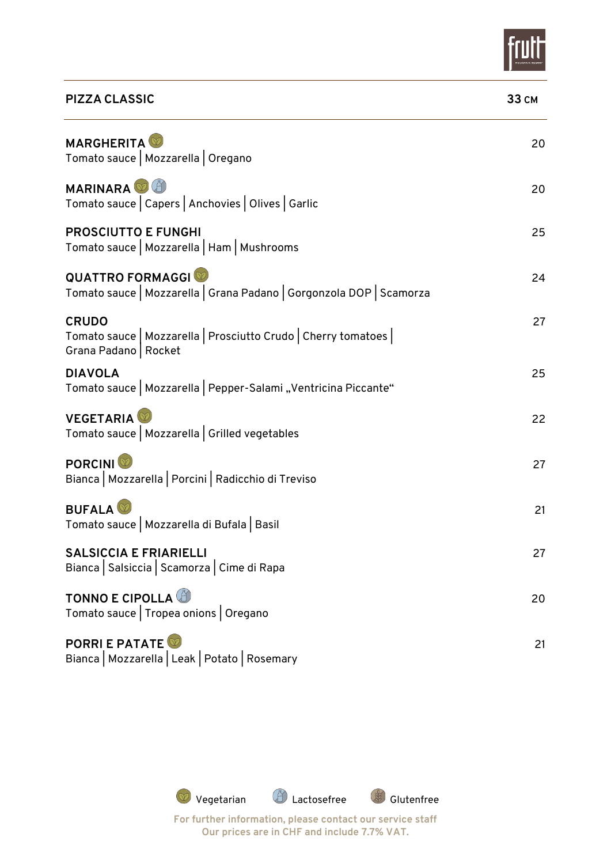

| <b>PIZZA CLASSIC</b>                                                                                      | <b>33 CM</b> |
|-----------------------------------------------------------------------------------------------------------|--------------|
| <b>MARGHERITA</b><br>Tomato sauce   Mozzarella   Oregano                                                  | 20           |
| <b>MARINARA</b><br>Tomato sauce   Capers   Anchovies   Olives   Garlic                                    | 20           |
| <b>PROSCIUTTO E FUNGHI</b><br>Tomato sauce   Mozzarella   Ham   Mushrooms                                 | 25           |
| <b>QUATTRO FORMAGGI</b><br>Tomato sauce   Mozzarella   Grana Padano   Gorgonzola DOP   Scamorza           | 24           |
| <b>CRUDO</b><br>Tomato sauce   Mozzarella   Prosciutto Crudo   Cherry tomatoes  <br>Grana Padano   Rocket | 27           |
| <b>DIAVOLA</b><br>Tomato sauce   Mozzarella   Pepper-Salami "Ventricina Piccante"                         | 25           |
| <b>VEGETARIA</b><br>Tomato sauce   Mozzarella   Grilled vegetables                                        | 22           |
| <b>PORCINI</b><br>Bianca   Mozzarella   Porcini   Radicchio di Treviso                                    | 27           |
| <b>BUFALA</b><br>Tomato sauce   Mozzarella di Bufala   Basil                                              | 21           |
| <b>SALSICCIA E FRIARIELLI</b><br>Bianca   Salsiccia   Scamorza   Cime di Rapa                             | 27           |
| <b>TONNO E CIPOLLA</b><br>Tomato sauce   Tropea onions   Oregano                                          | 20           |
| <b>PORRI E PATATE</b><br>Bianca   Mozzarella   Leak   Potato   Rosemary                                   | 21           |



**Our prices are in CHF and include 7.7% VAT.**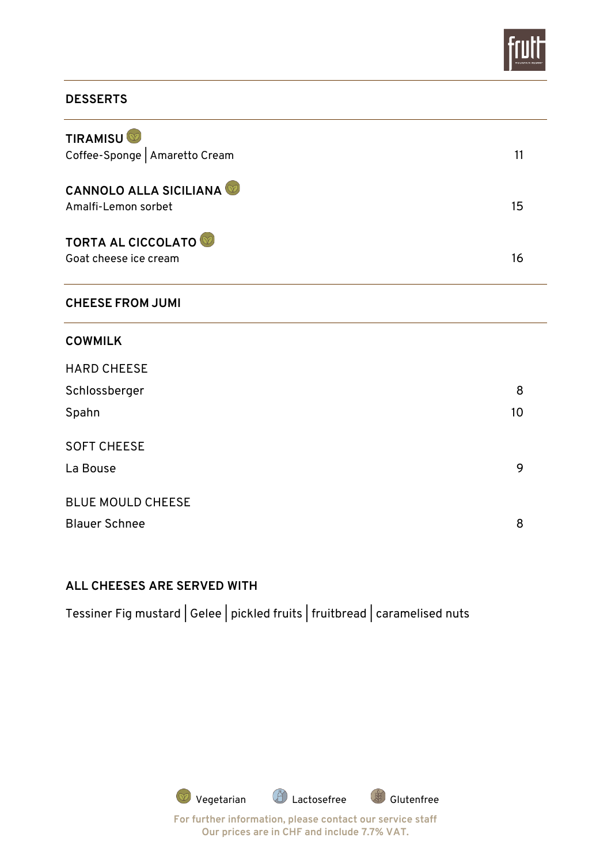

### **DESSERTS**

| <b>TIRAMISU</b><br>Coffee-Sponge   Amaretto Cream    | 11 |
|------------------------------------------------------|----|
| <b>CANNOLO ALLA SICILIANA</b><br>Amalfi-Lemon sorbet | 15 |
| <b>TORTA AL CICCOLATO</b><br>Goat cheese ice cream   | 16 |
| <b>CHEESE FROM JUMI</b>                              |    |
| <b>COWMILK</b>                                       |    |
| <b>HARD CHEESE</b>                                   |    |

| Schlossberger            | 8  |
|--------------------------|----|
| Spahn                    | 10 |
| <b>SOFT CHEESE</b>       |    |
| La Bouse                 | 9  |
| <b>BLUE MOULD CHEESE</b> |    |
| <b>Blauer Schnee</b>     | 8  |

### **ALL CHEESES ARE SERVED WITH**

Tessiner Fig mustard | Gelee | pickled fruits | fruitbread | caramelised nuts